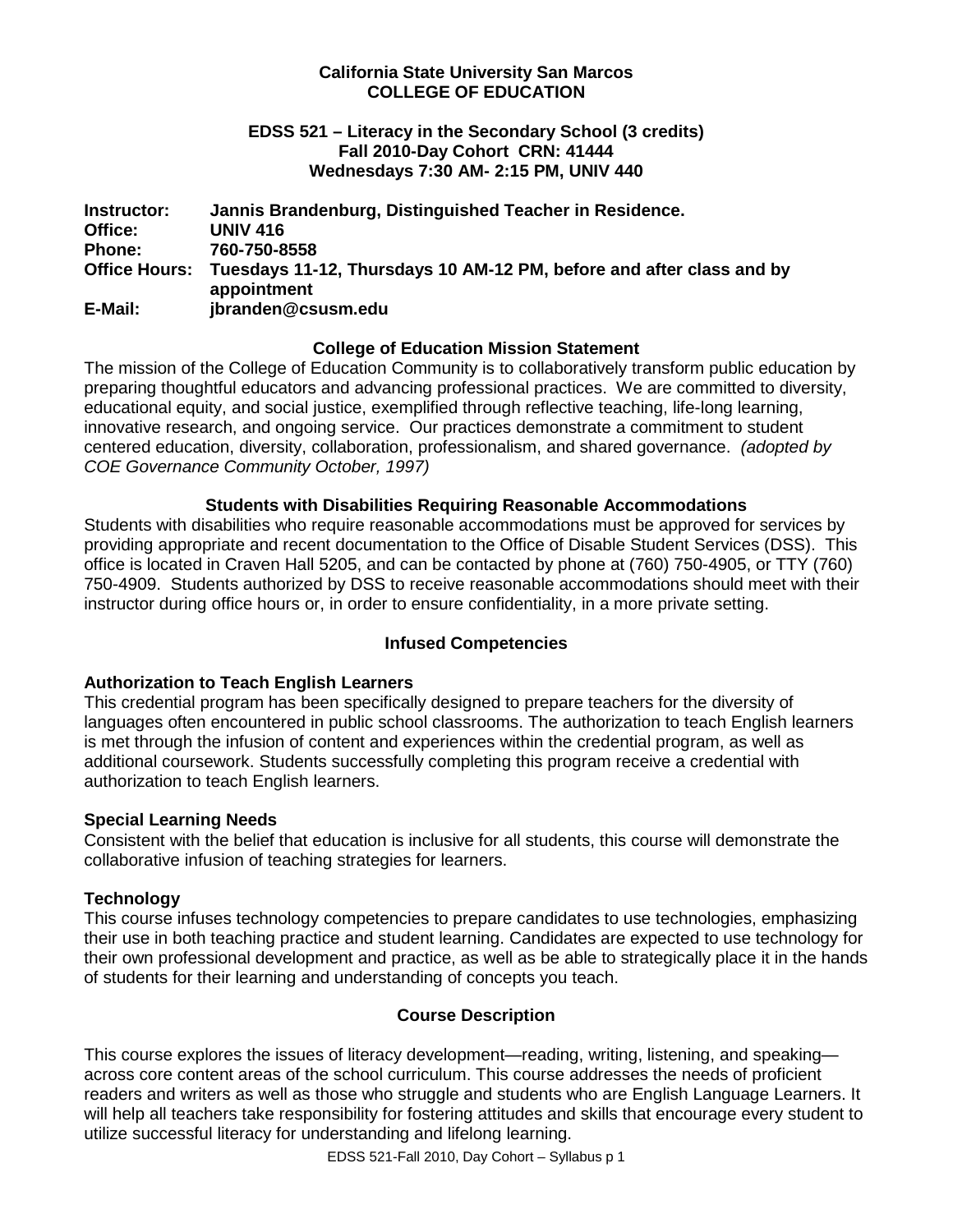## **California State University San Marcos COLLEGE OF EDUCATION**

## **EDSS 521 – Literacy in the Secondary School (3 credits) Fall 2010-Day Cohort CRN: 41444 Wednesdays 7:30 AM- 2:15 PM, UNIV 440**

**Instructor: Jannis Brandenburg, Distinguished Teacher in Residence. Office: UNIV 416 Phone: 760-750-8558 Office Hours: Tuesdays 11-12, Thursdays 10 AM-12 PM, before and after class and by appointment E-Mail: jbranden@csusm.edu**

## **College of Education Mission Statement**

The mission of the College of Education Community is to collaboratively transform public education by preparing thoughtful educators and advancing professional practices. We are committed to diversity, educational equity, and social justice, exemplified through reflective teaching, life-long learning, innovative research, and ongoing service. Our practices demonstrate a commitment to student centered education, diversity, collaboration, professionalism, and shared governance. *(adopted by COE Governance Community October, 1997)*

## **Students with Disabilities Requiring Reasonable Accommodations**

Students with disabilities who require reasonable accommodations must be approved for services by providing appropriate and recent documentation to the Office of Disable Student Services (DSS). This office is located in Craven Hall 5205, and can be contacted by phone at (760) 750-4905, or TTY (760) 750-4909. Students authorized by DSS to receive reasonable accommodations should meet with their instructor during office hours or, in order to ensure confidentiality, in a more private setting.

## **Infused Competencies**

## **Authorization to Teach English Learners**

This credential program has been specifically designed to prepare teachers for the diversity of languages often encountered in public school classrooms. The authorization to teach English learners is met through the infusion of content and experiences within the credential program, as well as additional coursework. Students successfully completing this program receive a credential with authorization to teach English learners.

#### **Special Learning Needs**

Consistent with the belief that education is inclusive for all students, this course will demonstrate the collaborative infusion of teaching strategies for learners.

## **Technology**

This course infuses technology competencies to prepare candidates to use technologies, emphasizing their use in both teaching practice and student learning. Candidates are expected to use technology for their own professional development and practice, as well as be able to strategically place it in the hands of students for their learning and understanding of concepts you teach.

## **Course Description**

This course explores the issues of literacy development—reading, writing, listening, and speaking across core content areas of the school curriculum. This course addresses the needs of proficient readers and writers as well as those who struggle and students who are English Language Learners. It will help all teachers take responsibility for fostering attitudes and skills that encourage every student to utilize successful literacy for understanding and lifelong learning.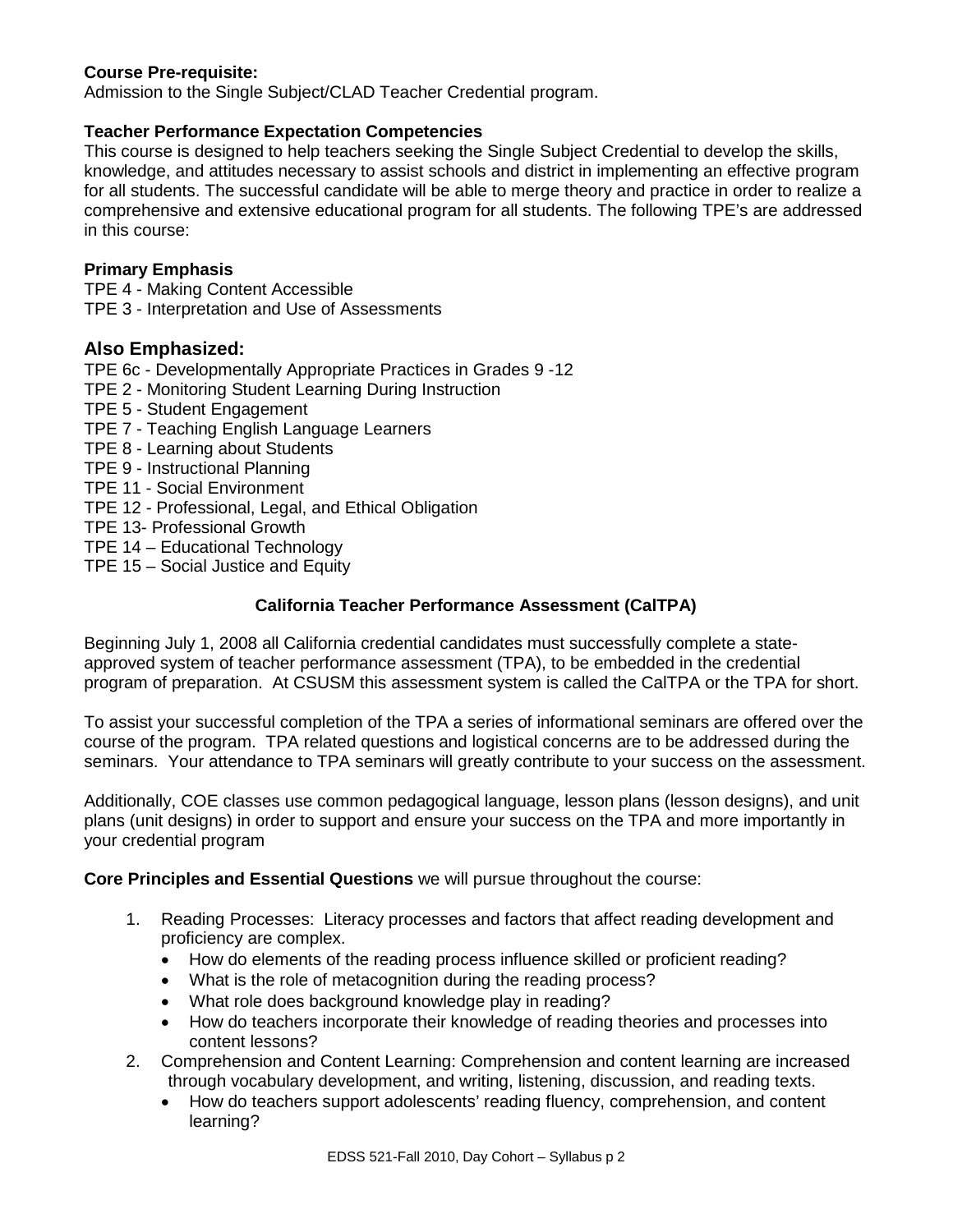# **Course Pre-requisite:**

Admission to the Single Subject/CLAD Teacher Credential program.

# **Teacher Performance Expectation Competencies**

This course is designed to help teachers seeking the Single Subject Credential to develop the skills, knowledge, and attitudes necessary to assist schools and district in implementing an effective program for all students. The successful candidate will be able to merge theory and practice in order to realize a comprehensive and extensive educational program for all students. The following TPE's are addressed in this course:

## **Primary Emphasis**

TPE 4 - Making Content Accessible TPE 3 - Interpretation and Use of Assessments

## **Also Emphasized:**

TPE 6c - Developmentally Appropriate Practices in Grades 9 -12

- TPE 2 Monitoring Student Learning During Instruction
- TPE 5 Student Engagement
- TPE 7 Teaching English Language Learners
- TPE 8 Learning about Students
- TPE 9 Instructional Planning
- TPE 11 Social Environment
- TPE 12 Professional, Legal, and Ethical Obligation
- TPE 13- Professional Growth
- TPE 14 Educational Technology
- TPE 15 Social Justice and Equity

## **California Teacher Performance Assessment (CalTPA)**

Beginning July 1, 2008 all California credential candidates must successfully complete a stateapproved system of teacher performance assessment (TPA), to be embedded in the credential program of preparation. At CSUSM this assessment system is called the CalTPA or the TPA for short.

To assist your successful completion of the TPA a series of informational seminars are offered over the course of the program. TPA related questions and logistical concerns are to be addressed during the seminars. Your attendance to TPA seminars will greatly contribute to your success on the assessment.

Additionally, COE classes use common pedagogical language, lesson plans (lesson designs), and unit plans (unit designs) in order to support and ensure your success on the TPA and more importantly in your credential program

**Core Principles and Essential Questions** we will pursue throughout the course:

- 1. Reading Processes: Literacy processes and factors that affect reading development and proficiency are complex.
	- How do elements of the reading process influence skilled or proficient reading?
	- What is the role of metacognition during the reading process?
	- What role does background knowledge play in reading?
	- How do teachers incorporate their knowledge of reading theories and processes into content lessons?
- 2. Comprehension and Content Learning: Comprehension and content learning are increased through vocabulary development, and writing, listening, discussion, and reading texts.
	- How do teachers support adolescents' reading fluency, comprehension, and content learning?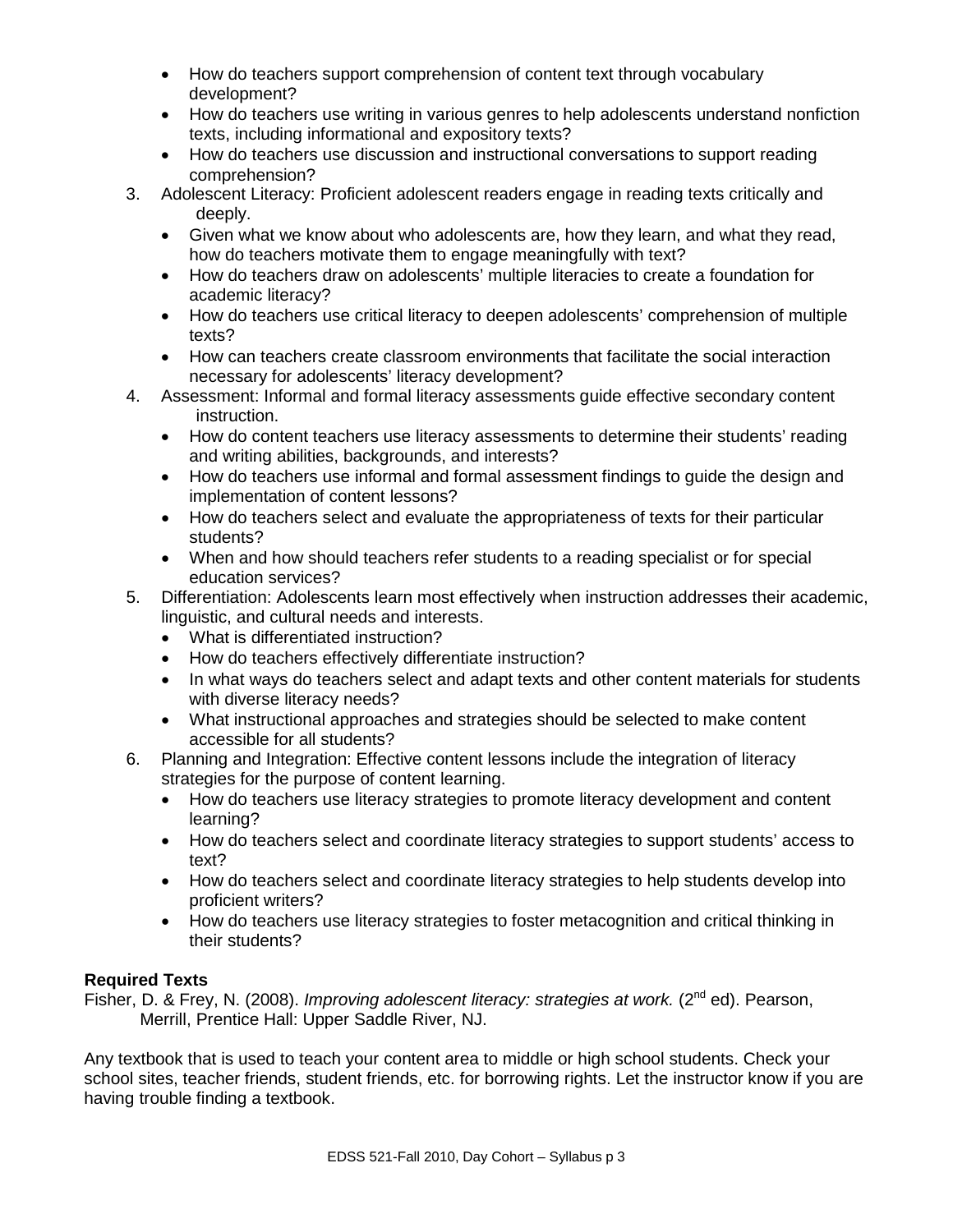- How do teachers support comprehension of content text through vocabulary development?
- How do teachers use writing in various genres to help adolescents understand nonfiction texts, including informational and expository texts?
- How do teachers use discussion and instructional conversations to support reading comprehension?
- 3. Adolescent Literacy: Proficient adolescent readers engage in reading texts critically and deeply.
	- Given what we know about who adolescents are, how they learn, and what they read, how do teachers motivate them to engage meaningfully with text?
	- How do teachers draw on adolescents' multiple literacies to create a foundation for academic literacy?
	- How do teachers use critical literacy to deepen adolescents' comprehension of multiple texts?
	- How can teachers create classroom environments that facilitate the social interaction necessary for adolescents' literacy development?
- 4. Assessment: Informal and formal literacy assessments guide effective secondary content instruction.
	- How do content teachers use literacy assessments to determine their students' reading and writing abilities, backgrounds, and interests?
	- How do teachers use informal and formal assessment findings to guide the design and implementation of content lessons?
	- How do teachers select and evaluate the appropriateness of texts for their particular students?
	- When and how should teachers refer students to a reading specialist or for special education services?
- 5. Differentiation: Adolescents learn most effectively when instruction addresses their academic, linguistic, and cultural needs and interests.
	- What is differentiated instruction?
	- How do teachers effectively differentiate instruction?
	- In what ways do teachers select and adapt texts and other content materials for students with diverse literacy needs?
	- What instructional approaches and strategies should be selected to make content accessible for all students?
- 6. Planning and Integration: Effective content lessons include the integration of literacy strategies for the purpose of content learning.
	- How do teachers use literacy strategies to promote literacy development and content learning?
	- How do teachers select and coordinate literacy strategies to support students' access to text?
	- How do teachers select and coordinate literacy strategies to help students develop into proficient writers?
	- How do teachers use literacy strategies to foster metacognition and critical thinking in their students?

# **Required Texts**

Fisher, D. & Frey, N. (2008). *Improving adolescent literacy: strategies at work.* (2<sup>nd</sup> ed). Pearson, Merrill, Prentice Hall: Upper Saddle River, NJ.

Any textbook that is used to teach your content area to middle or high school students. Check your school sites, teacher friends, student friends, etc. for borrowing rights. Let the instructor know if you are having trouble finding a textbook.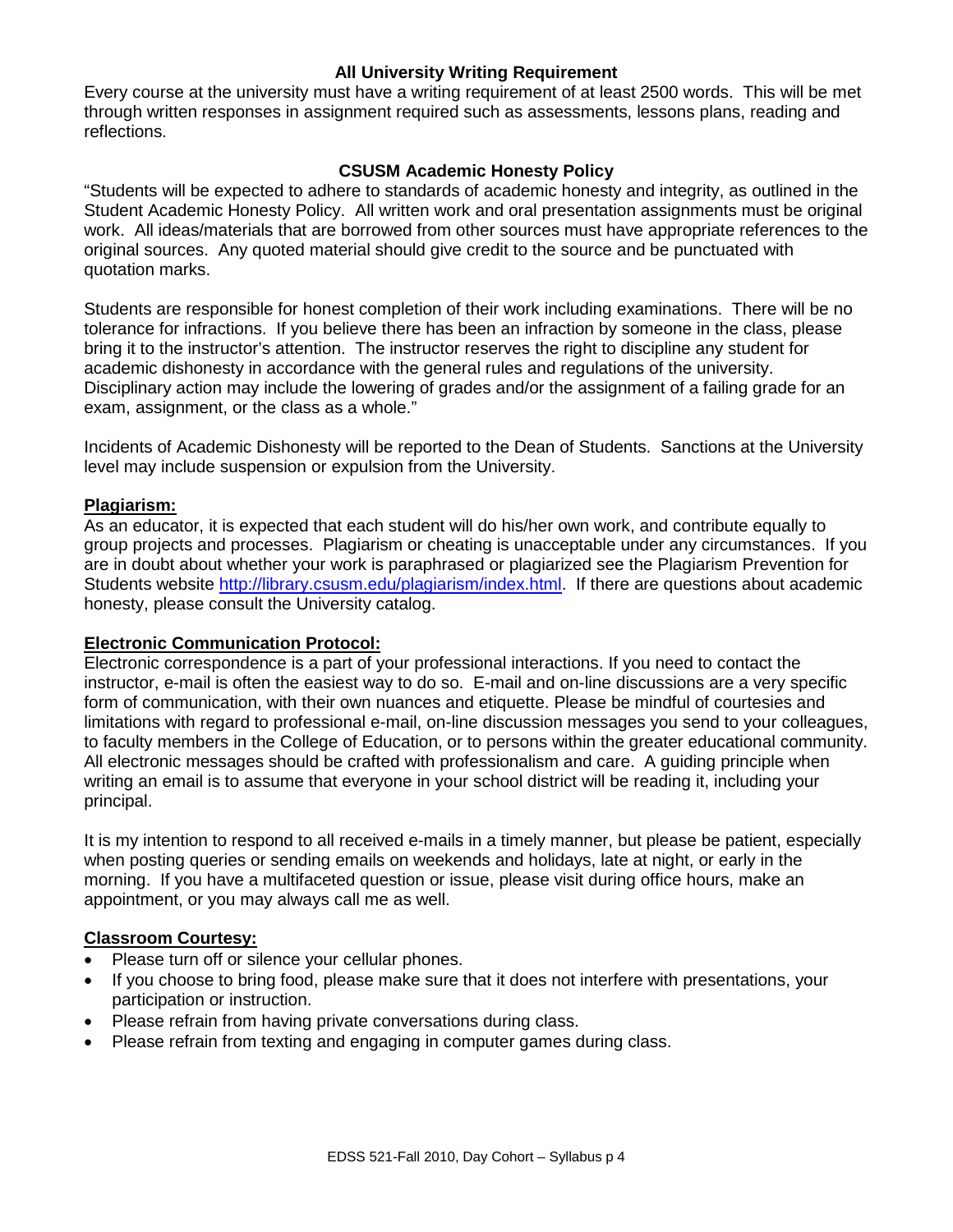## **All University Writing Requirement**

Every course at the university must have a writing requirement of at least 2500 words. This will be met through written responses in assignment required such as assessments, lessons plans, reading and reflections.

## **CSUSM Academic Honesty Policy**

"Students will be expected to adhere to standards of academic honesty and integrity, as outlined in the Student Academic Honesty Policy. All written work and oral presentation assignments must be original work. All ideas/materials that are borrowed from other sources must have appropriate references to the original sources. Any quoted material should give credit to the source and be punctuated with quotation marks.

Students are responsible for honest completion of their work including examinations. There will be no tolerance for infractions. If you believe there has been an infraction by someone in the class, please bring it to the instructor's attention. The instructor reserves the right to discipline any student for academic dishonesty in accordance with the general rules and regulations of the university. Disciplinary action may include the lowering of grades and/or the assignment of a failing grade for an exam, assignment, or the class as a whole."

Incidents of Academic Dishonesty will be reported to the Dean of Students. Sanctions at the University level may include suspension or expulsion from the University.

#### **Plagiarism:**

As an educator, it is expected that each student will do his/her own work, and contribute equally to group projects and processes. Plagiarism or cheating is unacceptable under any circumstances. If you are in doubt about whether your work is paraphrased or plagiarized see the Plagiarism Prevention for Students website [http://library.csusm.edu/plagiarism/index.html.](http://library.csusm.edu/plagiarism/index.html) If there are questions about academic honesty, please consult the University catalog.

#### **Electronic Communication Protocol:**

Electronic correspondence is a part of your professional interactions. If you need to contact the instructor, e-mail is often the easiest way to do so. E-mail and on-line discussions are a very specific form of communication, with their own nuances and etiquette. Please be mindful of courtesies and limitations with regard to professional e-mail, on-line discussion messages you send to your colleagues, to faculty members in the College of Education, or to persons within the greater educational community. All electronic messages should be crafted with professionalism and care. A guiding principle when writing an email is to assume that everyone in your school district will be reading it, including your principal.

It is my intention to respond to all received e-mails in a timely manner, but please be patient, especially when posting queries or sending emails on weekends and holidays, late at night, or early in the morning. If you have a multifaceted question or issue, please visit during office hours, make an appointment, or you may always call me as well.

#### **Classroom Courtesy:**

- Please turn off or silence your cellular phones.
- If you choose to bring food, please make sure that it does not interfere with presentations, your participation or instruction.
- Please refrain from having private conversations during class.
- Please refrain from texting and engaging in computer games during class.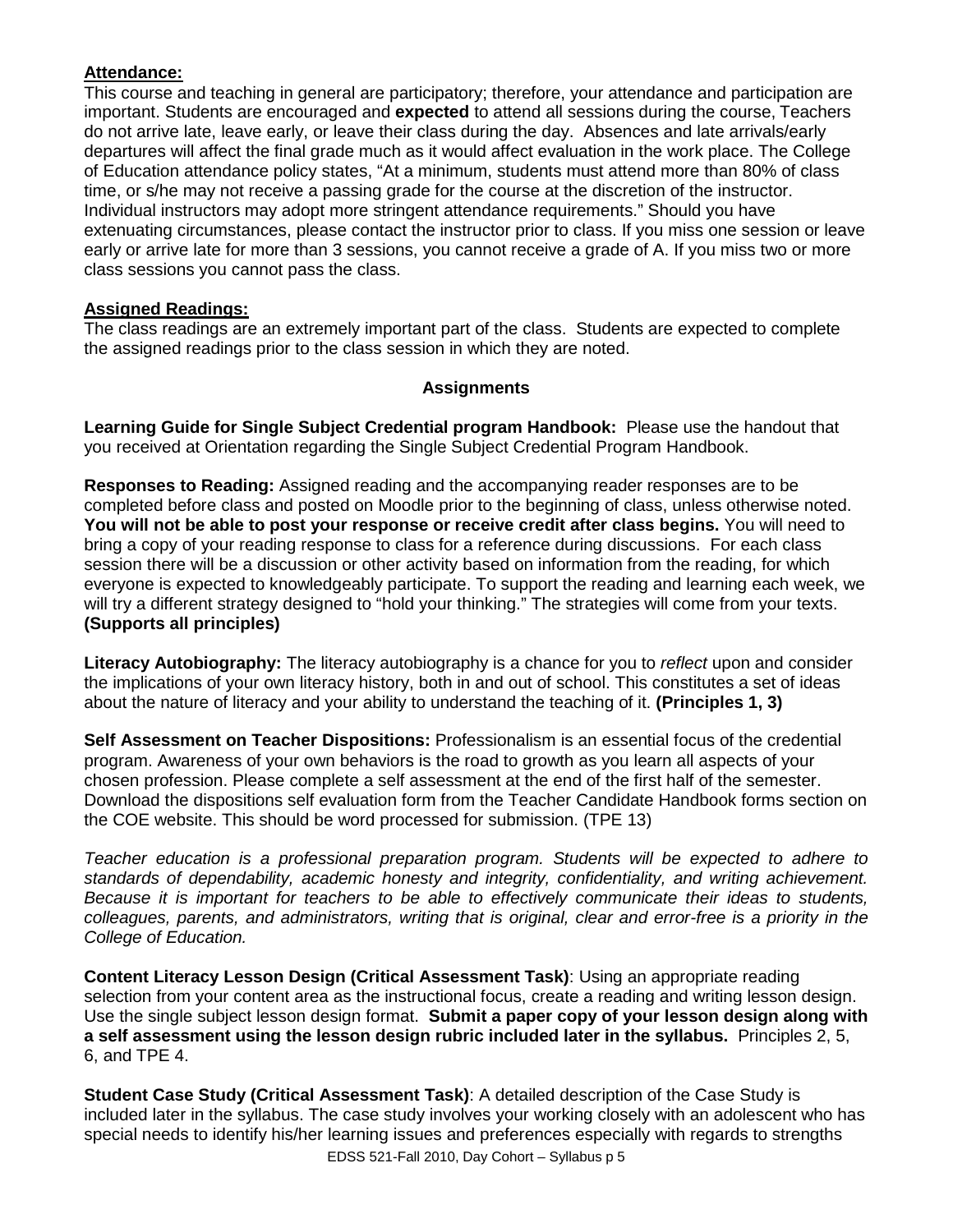# **Attendance:**

This course and teaching in general are participatory; therefore, your attendance and participation are important. Students are encouraged and **expected** to attend all sessions during the course, Teachers do not arrive late, leave early, or leave their class during the day. Absences and late arrivals/early departures will affect the final grade much as it would affect evaluation in the work place. The College of Education attendance policy states, "At a minimum, students must attend more than 80% of class time, or s/he may not receive a passing grade for the course at the discretion of the instructor. Individual instructors may adopt more stringent attendance requirements." Should you have extenuating circumstances, please contact the instructor prior to class. If you miss one session or leave early or arrive late for more than 3 sessions, you cannot receive a grade of A. If you miss two or more class sessions you cannot pass the class.

## **Assigned Readings:**

The class readings are an extremely important part of the class. Students are expected to complete the assigned readings prior to the class session in which they are noted.

## **Assignments**

**Learning Guide for Single Subject Credential program Handbook:** Please use the handout that you received at Orientation regarding the Single Subject Credential Program Handbook.

**Responses to Reading:** Assigned reading and the accompanying reader responses are to be completed before class and posted on Moodle prior to the beginning of class, unless otherwise noted. **You will not be able to post your response or receive credit after class begins.** You will need to bring a copy of your reading response to class for a reference during discussions. For each class session there will be a discussion or other activity based on information from the reading, for which everyone is expected to knowledgeably participate. To support the reading and learning each week, we will try a different strategy designed to "hold your thinking." The strategies will come from your texts. **(Supports all principles)**

**Literacy Autobiography:** The literacy autobiography is a chance for you to *reflect* upon and consider the implications of your own literacy history, both in and out of school. This constitutes a set of ideas about the nature of literacy and your ability to understand the teaching of it. **(Principles 1, 3)**

**Self Assessment on Teacher Dispositions:** Professionalism is an essential focus of the credential program. Awareness of your own behaviors is the road to growth as you learn all aspects of your chosen profession. Please complete a self assessment at the end of the first half of the semester. Download the dispositions self evaluation form from the Teacher Candidate Handbook forms section on the COE website. This should be word processed for submission. (TPE 13)

*Teacher education is a professional preparation program. Students will be expected to adhere to standards of dependability, academic honesty and integrity, confidentiality, and writing achievement. Because it is important for teachers to be able to effectively communicate their ideas to students, colleagues, parents, and administrators, writing that is original, clear and error-free is a priority in the College of Education.* 

**Content Literacy Lesson Design (Critical Assessment Task)**: Using an appropriate reading selection from your content area as the instructional focus, create a reading and writing lesson design. Use the single subject lesson design format. **Submit a paper copy of your lesson design along with a self assessment using the lesson design rubric included later in the syllabus.** Principles 2, 5, 6, and TPE 4.

**Student Case Study (Critical Assessment Task)**: A detailed description of the Case Study is included later in the syllabus. The case study involves your working closely with an adolescent who has special needs to identify his/her learning issues and preferences especially with regards to strengths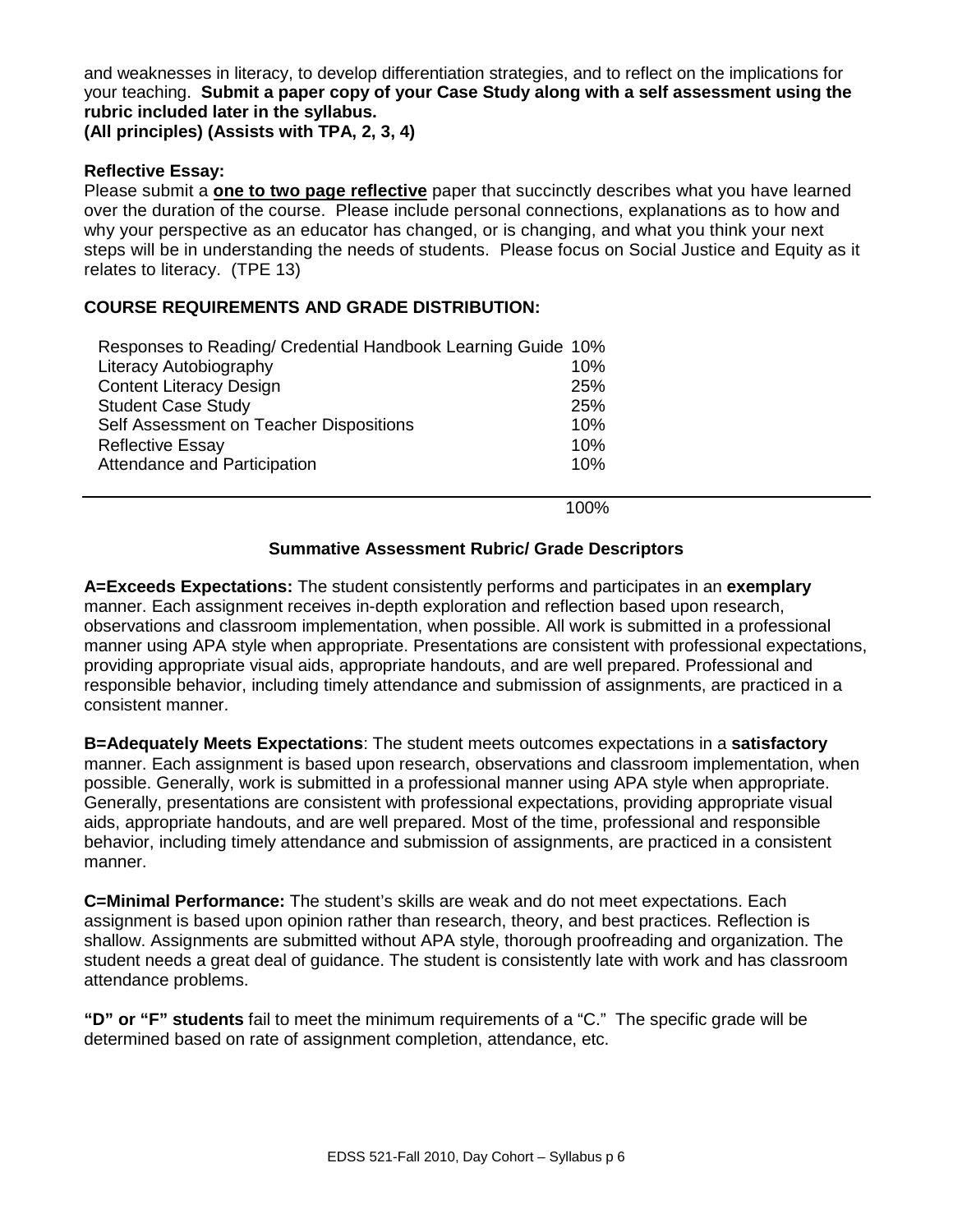and weaknesses in literacy, to develop differentiation strategies, and to reflect on the implications for your teaching. **Submit a paper copy of your Case Study along with a self assessment using the rubric included later in the syllabus.**

**(All principles) (Assists with TPA, 2, 3, 4)**

## **Reflective Essay:**

Please submit a **one to two page reflective** paper that succinctly describes what you have learned over the duration of the course. Please include personal connections, explanations as to how and why your perspective as an educator has changed, or is changing, and what you think your next steps will be in understanding the needs of students. Please focus on Social Justice and Equity as it relates to literacy. (TPE 13)

## **COURSE REQUIREMENTS AND GRADE DISTRIBUTION:**

| Responses to Reading/ Credential Handbook Learning Guide 10% |     |
|--------------------------------------------------------------|-----|
| Literacy Autobiography                                       | 10% |
| <b>Content Literacy Design</b>                               | 25% |
| <b>Student Case Study</b>                                    | 25% |
| Self Assessment on Teacher Dispositions                      | 10% |
| <b>Reflective Essay</b>                                      | 10% |
| Attendance and Participation                                 | 10% |

100%

#### **Summative Assessment Rubric/ Grade Descriptors**

**A=Exceeds Expectations:** The student consistently performs and participates in an **exemplary** manner. Each assignment receives in-depth exploration and reflection based upon research, observations and classroom implementation, when possible. All work is submitted in a professional manner using APA style when appropriate. Presentations are consistent with professional expectations, providing appropriate visual aids, appropriate handouts, and are well prepared. Professional and responsible behavior, including timely attendance and submission of assignments, are practiced in a consistent manner.

**B=Adequately Meets Expectations**: The student meets outcomes expectations in a **satisfactory** manner. Each assignment is based upon research, observations and classroom implementation, when possible. Generally, work is submitted in a professional manner using APA style when appropriate. Generally, presentations are consistent with professional expectations, providing appropriate visual aids, appropriate handouts, and are well prepared. Most of the time, professional and responsible behavior, including timely attendance and submission of assignments, are practiced in a consistent manner.

**C=Minimal Performance:** The student's skills are weak and do not meet expectations. Each assignment is based upon opinion rather than research, theory, and best practices. Reflection is shallow. Assignments are submitted without APA style, thorough proofreading and organization. The student needs a great deal of guidance. The student is consistently late with work and has classroom attendance problems.

**"D" or "F" students** fail to meet the minimum requirements of a "C." The specific grade will be determined based on rate of assignment completion, attendance, etc.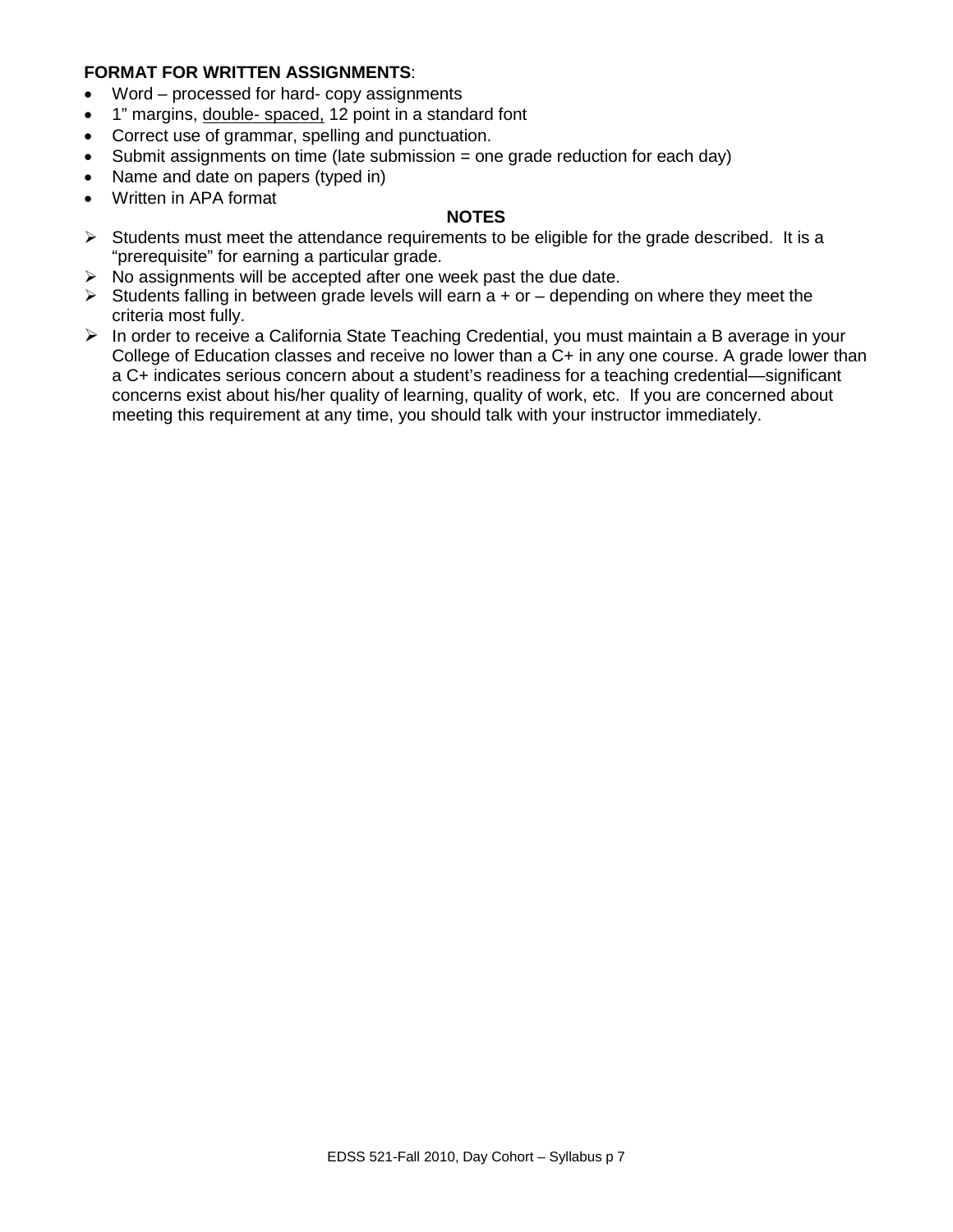## **FORMAT FOR WRITTEN ASSIGNMENTS**:

- Word processed for hard- copy assignments
- 1" margins, double- spaced, 12 point in a standard font
- Correct use of grammar, spelling and punctuation.
- Submit assignments on time (late submission = one grade reduction for each day)
- Name and date on papers (typed in)
- Written in APA format

## **NOTES**

- $\triangleright$  Students must meet the attendance requirements to be eligible for the grade described. It is a "prerequisite" for earning a particular grade.
- $\triangleright$  No assignments will be accepted after one week past the due date.
- $\triangleright$  Students falling in between grade levels will earn a + or depending on where they meet the criteria most fully.
- $\triangleright$  In order to receive a California State Teaching Credential, you must maintain a B average in your College of Education classes and receive no lower than a C+ in any one course. A grade lower than a C+ indicates serious concern about a student's readiness for a teaching credential—significant concerns exist about his/her quality of learning, quality of work, etc. If you are concerned about meeting this requirement at any time, you should talk with your instructor immediately.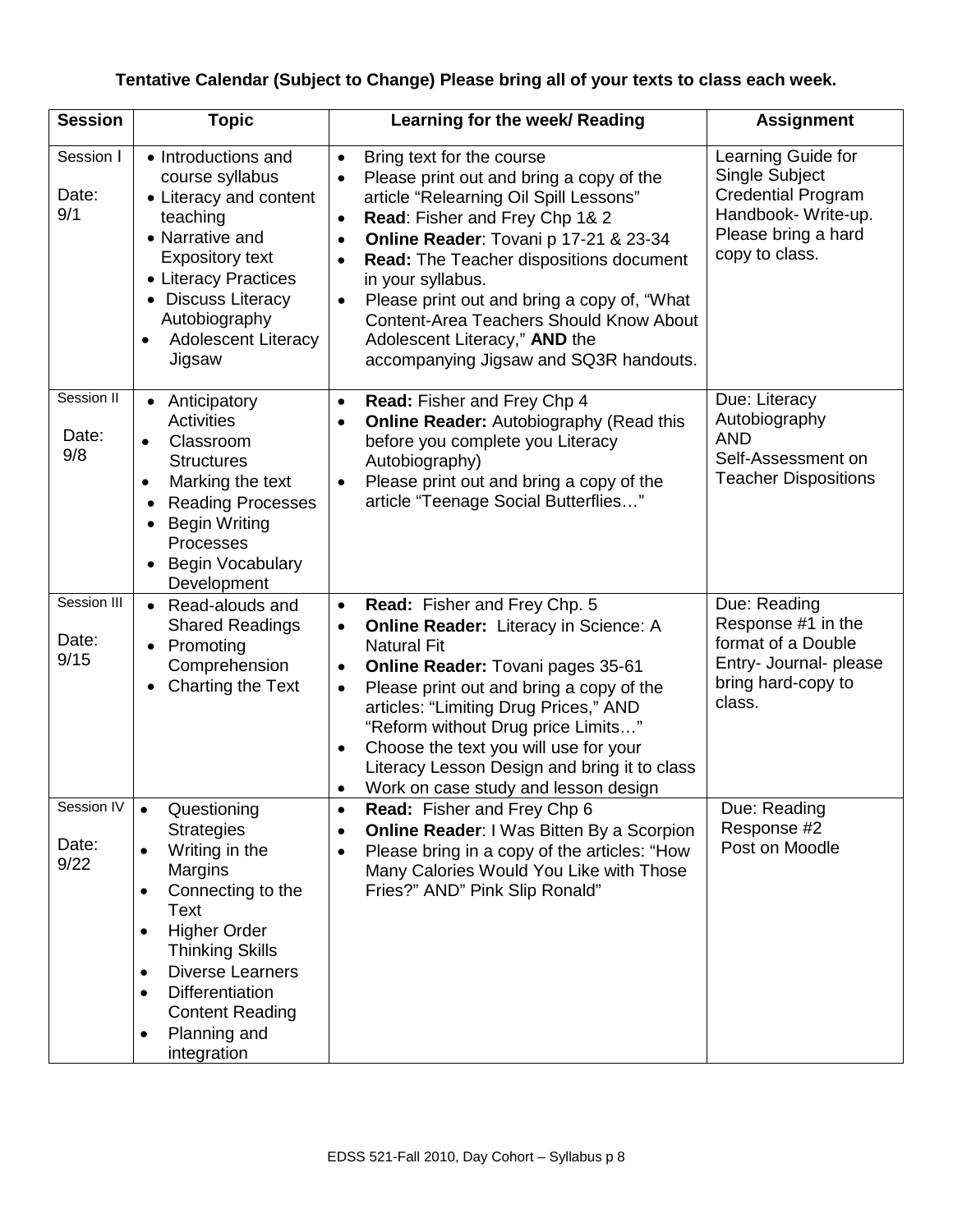# **Tentative Calendar (Subject to Change) Please bring all of your texts to class each week.**

| <b>Session</b>               | <b>Topic</b>                                                                                                                                                                                                                                                                                                               | Learning for the week/ Reading                                                                                                                                                                                                                                                                                                                                                                                                                                                             | <b>Assignment</b>                                                                                                                |
|------------------------------|----------------------------------------------------------------------------------------------------------------------------------------------------------------------------------------------------------------------------------------------------------------------------------------------------------------------------|--------------------------------------------------------------------------------------------------------------------------------------------------------------------------------------------------------------------------------------------------------------------------------------------------------------------------------------------------------------------------------------------------------------------------------------------------------------------------------------------|----------------------------------------------------------------------------------------------------------------------------------|
| Session I<br>Date:<br>9/1    | • Introductions and<br>course syllabus<br>• Literacy and content<br>teaching<br>• Narrative and<br><b>Expository text</b><br>• Literacy Practices<br>• Discuss Literacy<br>Autobiography<br><b>Adolescent Literacy</b><br>$\bullet$<br>Jigsaw                                                                              | Bring text for the course<br>$\bullet$<br>Please print out and bring a copy of the<br>article "Relearning Oil Spill Lessons"<br>Read: Fisher and Frey Chp 1& 2<br>$\bullet$<br>Online Reader: Tovani p 17-21 & 23-34<br>$\bullet$<br>Read: The Teacher dispositions document<br>$\bullet$<br>in your syllabus.<br>Please print out and bring a copy of, "What<br><b>Content-Area Teachers Should Know About</b><br>Adolescent Literacy," AND the<br>accompanying Jigsaw and SQ3R handouts. | Learning Guide for<br>Single Subject<br><b>Credential Program</b><br>Handbook-Write-up.<br>Please bring a hard<br>copy to class. |
| Session II<br>Date:<br>9/8   | • Anticipatory<br><b>Activities</b><br>Classroom<br><b>Structures</b><br>Marking the text<br>$\bullet$<br><b>Reading Processes</b><br><b>Begin Writing</b><br>Processes<br><b>Begin Vocabulary</b><br>Development                                                                                                          | Read: Fisher and Frey Chp 4<br>$\bullet$<br><b>Online Reader: Autobiography (Read this</b><br>$\bullet$<br>before you complete you Literacy<br>Autobiography)<br>Please print out and bring a copy of the<br>$\bullet$<br>article "Teenage Social Butterflies"                                                                                                                                                                                                                             | Due: Literacy<br>Autobiography<br><b>AND</b><br>Self-Assessment on<br><b>Teacher Dispositions</b>                                |
| Session III<br>Date:<br>9/15 | • Read-alouds and<br><b>Shared Readings</b><br>• Promoting<br>Comprehension<br>Charting the Text                                                                                                                                                                                                                           | Read: Fisher and Frey Chp. 5<br>$\bullet$<br><b>Online Reader:</b> Literacy in Science: A<br>$\bullet$<br><b>Natural Fit</b><br><b>Online Reader: Tovani pages 35-61</b><br>$\bullet$<br>Please print out and bring a copy of the<br>$\bullet$<br>articles: "Limiting Drug Prices," AND<br>"Reform without Drug price Limits"<br>Choose the text you will use for your<br>Literacy Lesson Design and bring it to class<br>Work on case study and lesson design                             | Due: Reading<br>Response #1 in the<br>format of a Double<br>Entry- Journal- please<br>bring hard-copy to<br>class.               |
| Session IV<br>Date:<br>9/22  | Questioning<br><b>Strategies</b><br>Writing in the<br>Margins<br>Connecting to the<br>$\bullet$<br>Text<br><b>Higher Order</b><br>$\bullet$<br><b>Thinking Skills</b><br><b>Diverse Learners</b><br>$\bullet$<br><b>Differentiation</b><br>$\bullet$<br><b>Content Reading</b><br>Planning and<br>$\bullet$<br>integration | Read: Fisher and Frey Chp 6<br><b>Online Reader: I Was Bitten By a Scorpion</b><br>Please bring in a copy of the articles: "How<br>$\bullet$<br>Many Calories Would You Like with Those<br>Fries?" AND" Pink Slip Ronald"                                                                                                                                                                                                                                                                  | Due: Reading<br>Response #2<br>Post on Moodle                                                                                    |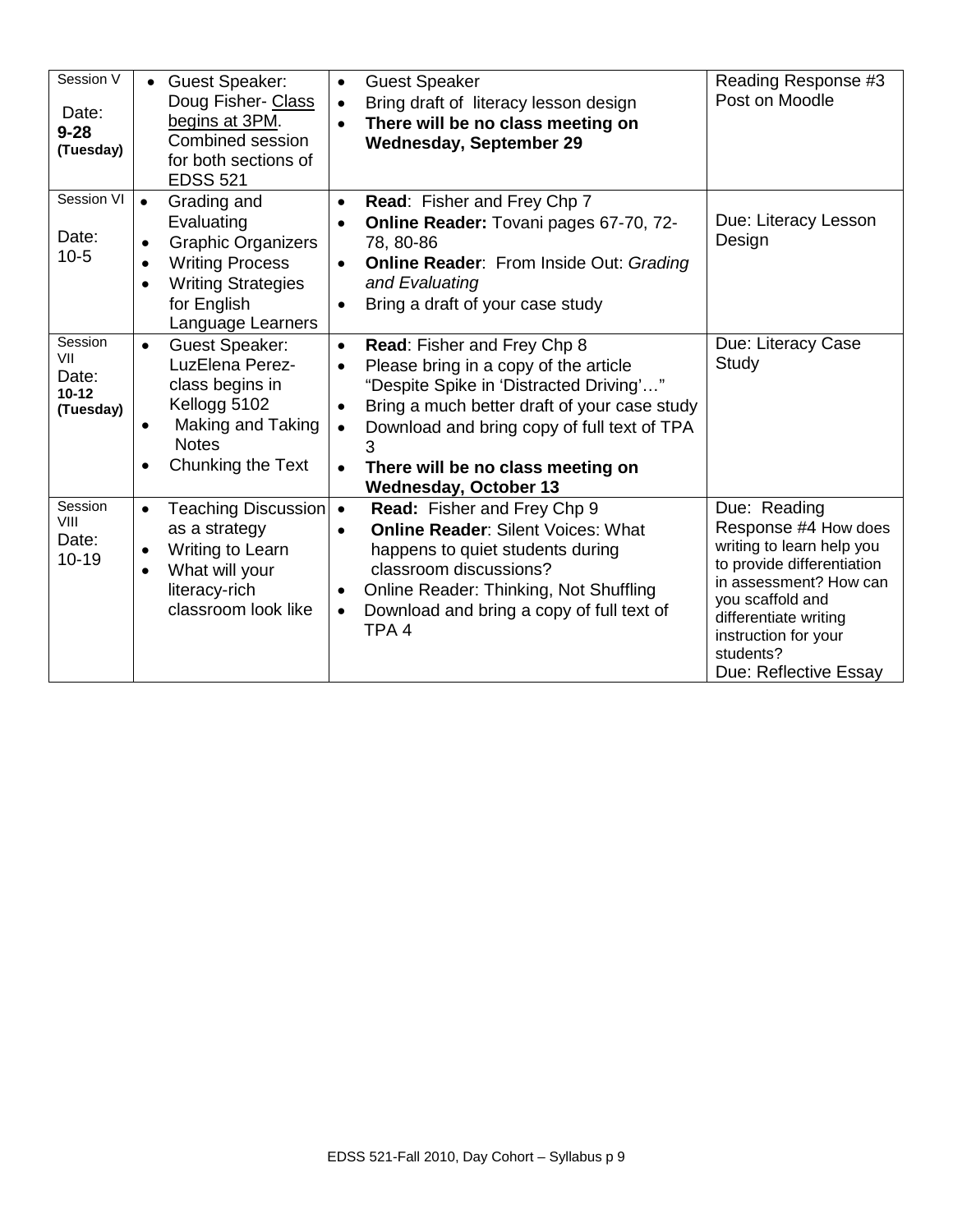| Session V<br>Date:<br>$9 - 28$<br>(Tuesday)       | • Guest Speaker:<br>Doug Fisher- Class<br>begins at 3PM.<br>Combined session<br>for both sections of<br><b>EDSS 521</b>                                                                               | <b>Guest Speaker</b><br>$\bullet$<br>Bring draft of literacy lesson design<br>$\bullet$<br>There will be no class meeting on<br><b>Wednesday, September 29</b>                                                                                                                                                     | Reading Response #3<br>Post on Moodle                                                                                                                                                                                                |
|---------------------------------------------------|-------------------------------------------------------------------------------------------------------------------------------------------------------------------------------------------------------|--------------------------------------------------------------------------------------------------------------------------------------------------------------------------------------------------------------------------------------------------------------------------------------------------------------------|--------------------------------------------------------------------------------------------------------------------------------------------------------------------------------------------------------------------------------------|
| Session VI<br>Date:<br>$10-5$                     | Grading and<br>$\bullet$<br>Evaluating<br><b>Graphic Organizers</b><br>$\bullet$<br><b>Writing Process</b><br>$\bullet$<br><b>Writing Strategies</b><br>$\bullet$<br>for English<br>Language Learners | Read: Fisher and Frey Chp 7<br>$\bullet$<br>Online Reader: Tovani pages 67-70, 72-<br>78, 80-86<br><b>Online Reader: From Inside Out: Grading</b><br>and Evaluating<br>Bring a draft of your case study                                                                                                            | Due: Literacy Lesson<br>Design                                                                                                                                                                                                       |
| Session<br>VII<br>Date:<br>$10 - 12$<br>(Tuesday) | <b>Guest Speaker:</b><br>$\bullet$<br>LuzElena Perez-<br>class begins in<br>Kellogg 5102<br>Making and Taking<br>$\bullet$<br><b>Notes</b><br>Chunking the Text<br>$\bullet$                          | Read: Fisher and Frey Chp 8<br>$\bullet$<br>Please bring in a copy of the article<br>$\bullet$<br>"Despite Spike in 'Distracted Driving'"<br>Bring a much better draft of your case study<br>Download and bring copy of full text of TPA<br>3<br>There will be no class meeting on<br><b>Wednesday, October 13</b> | Due: Literacy Case<br>Study                                                                                                                                                                                                          |
| Session<br><b>VIII</b><br>Date:<br>$10 - 19$      | Teaching Discussion<br>$\bullet$<br>as a strategy<br>Writing to Learn<br>$\bullet$<br>What will your<br>$\bullet$<br>literacy-rich<br>classroom look like                                             | Read: Fisher and Frey Chp 9<br>$\bullet$<br><b>Online Reader: Silent Voices: What</b><br>happens to quiet students during<br>classroom discussions?<br>Online Reader: Thinking, Not Shuffling<br>$\bullet$<br>Download and bring a copy of full text of<br>TPA <sub>4</sub>                                        | Due: Reading<br>Response #4 How does<br>writing to learn help you<br>to provide differentiation<br>in assessment? How can<br>you scaffold and<br>differentiate writing<br>instruction for your<br>students?<br>Due: Reflective Essay |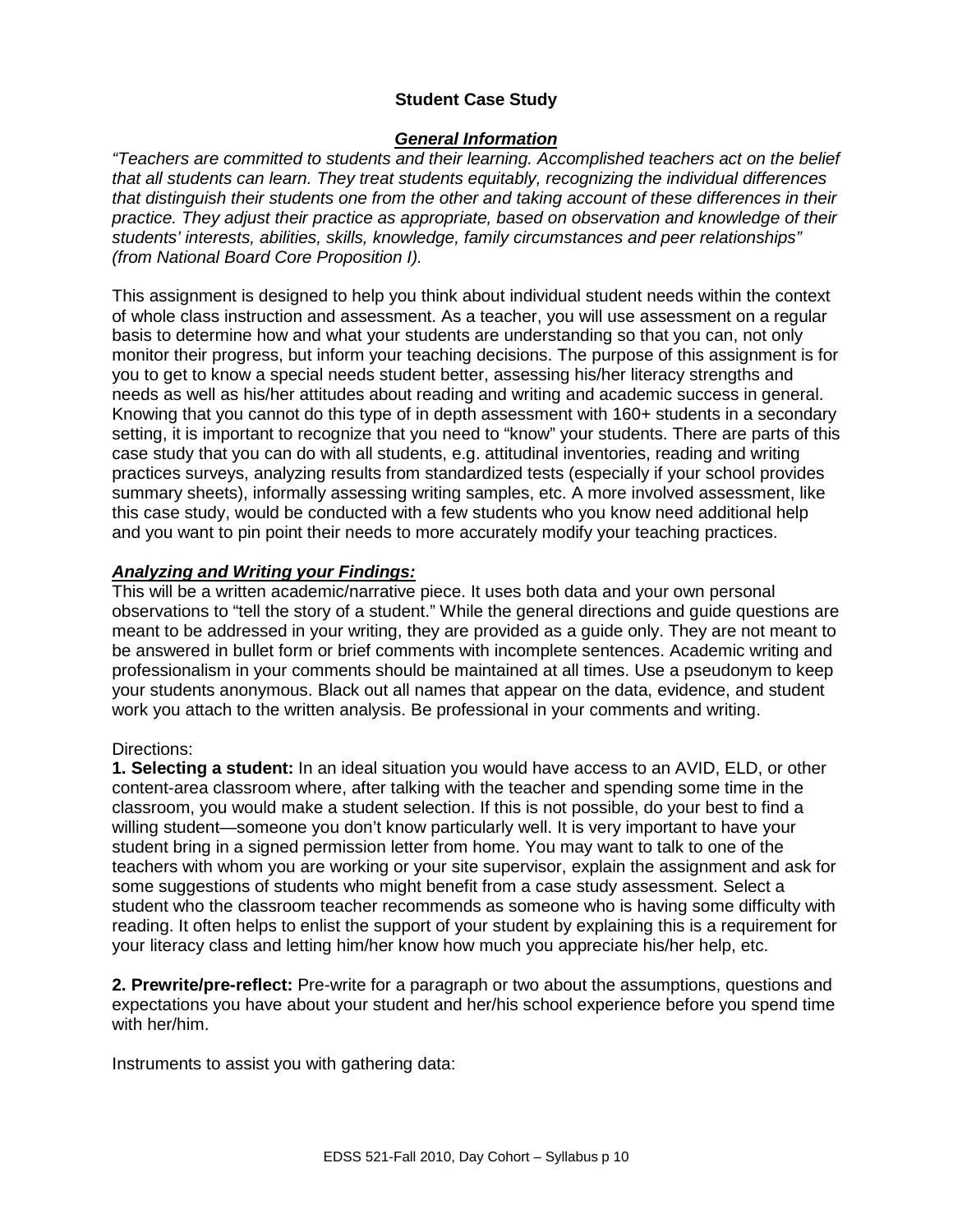## **Student Case Study**

## *General Information*

*"Teachers are committed to students and their learning. Accomplished teachers act on the belief that all students can learn. They treat students equitably, recognizing the individual differences that distinguish their students one from the other and taking account of these differences in their practice. They adjust their practice as appropriate, based on observation and knowledge of their students' interests, abilities, skills, knowledge, family circumstances and peer relationships" (from National Board Core Proposition I).* 

This assignment is designed to help you think about individual student needs within the context of whole class instruction and assessment. As a teacher, you will use assessment on a regular basis to determine how and what your students are understanding so that you can, not only monitor their progress, but inform your teaching decisions. The purpose of this assignment is for you to get to know a special needs student better, assessing his/her literacy strengths and needs as well as his/her attitudes about reading and writing and academic success in general. Knowing that you cannot do this type of in depth assessment with 160+ students in a secondary setting, it is important to recognize that you need to "know" your students. There are parts of this case study that you can do with all students, e.g. attitudinal inventories, reading and writing practices surveys, analyzing results from standardized tests (especially if your school provides summary sheets), informally assessing writing samples, etc. A more involved assessment, like this case study, would be conducted with a few students who you know need additional help and you want to pin point their needs to more accurately modify your teaching practices.

## *Analyzing and Writing your Findings:*

This will be a written academic/narrative piece. It uses both data and your own personal observations to "tell the story of a student." While the general directions and guide questions are meant to be addressed in your writing, they are provided as a guide only. They are not meant to be answered in bullet form or brief comments with incomplete sentences. Academic writing and professionalism in your comments should be maintained at all times. Use a pseudonym to keep your students anonymous. Black out all names that appear on the data, evidence, and student work you attach to the written analysis. Be professional in your comments and writing.

#### Directions:

**1. Selecting a student:** In an ideal situation you would have access to an AVID, ELD, or other content-area classroom where, after talking with the teacher and spending some time in the classroom, you would make a student selection. If this is not possible, do your best to find a willing student—someone you don't know particularly well. It is very important to have your student bring in a signed permission letter from home. You may want to talk to one of the teachers with whom you are working or your site supervisor, explain the assignment and ask for some suggestions of students who might benefit from a case study assessment. Select a student who the classroom teacher recommends as someone who is having some difficulty with reading. It often helps to enlist the support of your student by explaining this is a requirement for your literacy class and letting him/her know how much you appreciate his/her help, etc.

**2. Prewrite/pre-reflect:** Pre-write for a paragraph or two about the assumptions, questions and expectations you have about your student and her/his school experience before you spend time with her/him.

Instruments to assist you with gathering data: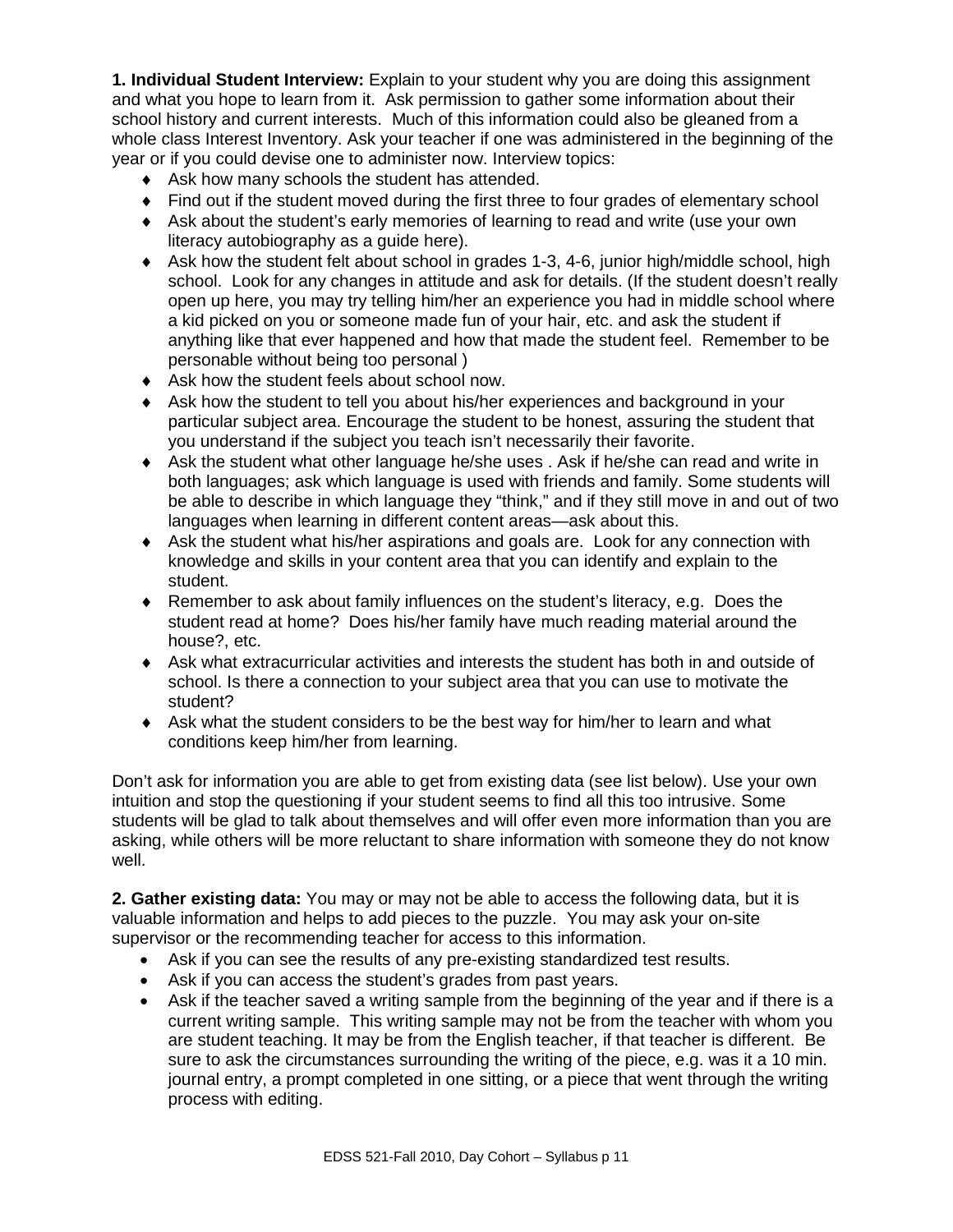**1. Individual Student Interview:** Explain to your student why you are doing this assignment and what you hope to learn from it. Ask permission to gather some information about their school history and current interests. Much of this information could also be gleaned from a whole class Interest Inventory. Ask your teacher if one was administered in the beginning of the year or if you could devise one to administer now. Interview topics:

- ♦ Ask how many schools the student has attended.
- ♦ Find out if the student moved during the first three to four grades of elementary school
- ♦ Ask about the student's early memories of learning to read and write (use your own literacy autobiography as a guide here).
- ♦ Ask how the student felt about school in grades 1-3, 4-6, junior high/middle school, high school. Look for any changes in attitude and ask for details. (If the student doesn't really open up here, you may try telling him/her an experience you had in middle school where a kid picked on you or someone made fun of your hair, etc. and ask the student if anything like that ever happened and how that made the student feel. Remember to be personable without being too personal )
- ♦ Ask how the student feels about school now.
- ♦ Ask how the student to tell you about his/her experiences and background in your particular subject area. Encourage the student to be honest, assuring the student that you understand if the subject you teach isn't necessarily their favorite.
- ♦ Ask the student what other language he/she uses . Ask if he/she can read and write in both languages; ask which language is used with friends and family. Some students will be able to describe in which language they "think," and if they still move in and out of two languages when learning in different content areas—ask about this.
- ♦ Ask the student what his/her aspirations and goals are. Look for any connection with knowledge and skills in your content area that you can identify and explain to the student.
- ♦ Remember to ask about family influences on the student's literacy, e.g. Does the student read at home? Does his/her family have much reading material around the house?, etc.
- ♦ Ask what extracurricular activities and interests the student has both in and outside of school. Is there a connection to your subject area that you can use to motivate the student?
- ♦ Ask what the student considers to be the best way for him/her to learn and what conditions keep him/her from learning.

Don't ask for information you are able to get from existing data (see list below). Use your own intuition and stop the questioning if your student seems to find all this too intrusive. Some students will be glad to talk about themselves and will offer even more information than you are asking, while others will be more reluctant to share information with someone they do not know well.

**2. Gather existing data:** You may or may not be able to access the following data, but it is valuable information and helps to add pieces to the puzzle. You may ask your on-site supervisor or the recommending teacher for access to this information.

- Ask if you can see the results of any pre-existing standardized test results.
- Ask if you can access the student's grades from past years.
- Ask if the teacher saved a writing sample from the beginning of the year and if there is a current writing sample. This writing sample may not be from the teacher with whom you are student teaching. It may be from the English teacher, if that teacher is different. Be sure to ask the circumstances surrounding the writing of the piece, e.g. was it a 10 min. journal entry, a prompt completed in one sitting, or a piece that went through the writing process with editing.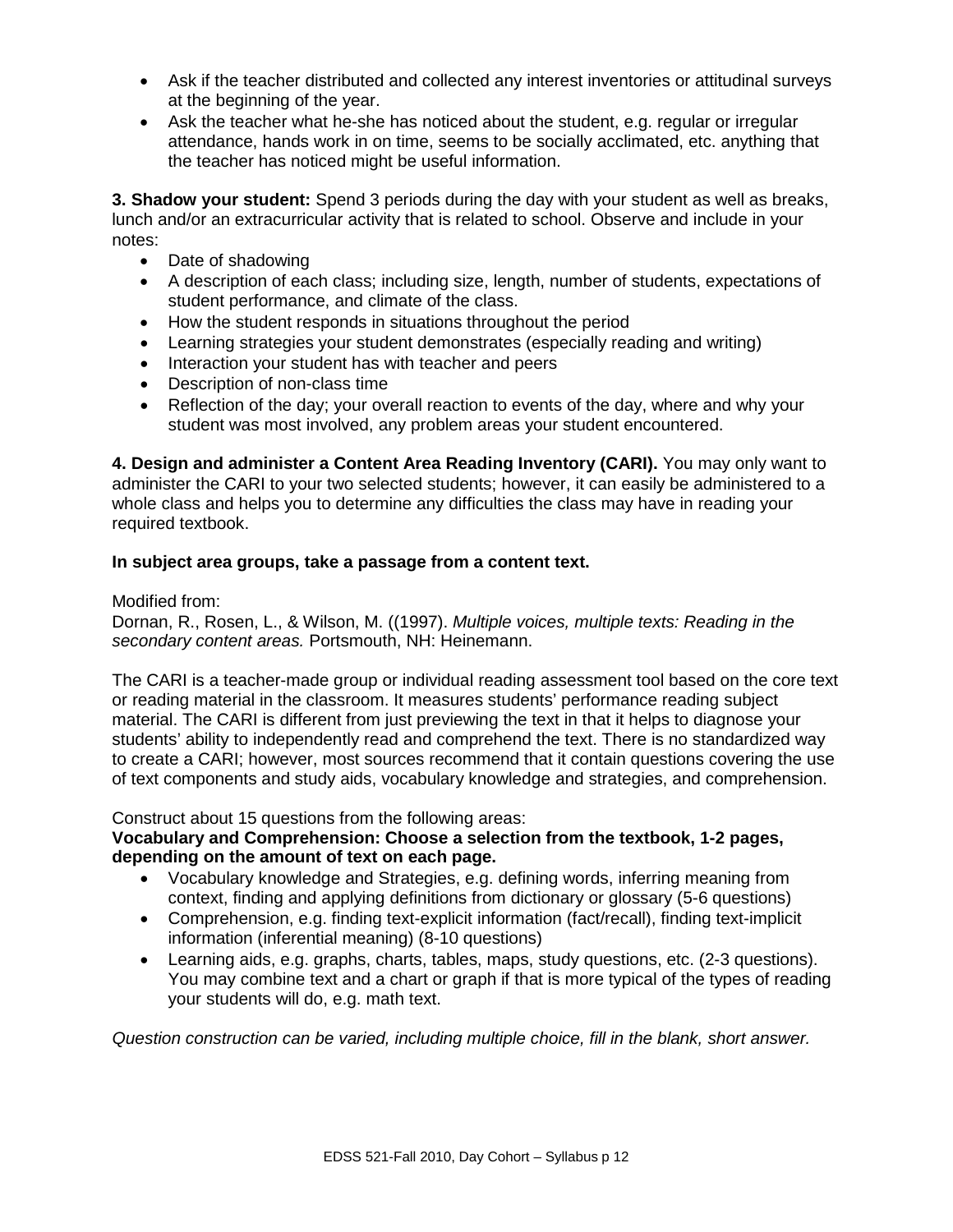- Ask if the teacher distributed and collected any interest inventories or attitudinal surveys at the beginning of the year.
- Ask the teacher what he-she has noticed about the student, e.g. regular or irregular attendance, hands work in on time, seems to be socially acclimated, etc. anything that the teacher has noticed might be useful information.

**3. Shadow your student:** Spend 3 periods during the day with your student as well as breaks, lunch and/or an extracurricular activity that is related to school. Observe and include in your notes:

- Date of shadowing
- A description of each class; including size, length, number of students, expectations of student performance, and climate of the class.
- How the student responds in situations throughout the period
- Learning strategies your student demonstrates (especially reading and writing)
- Interaction your student has with teacher and peers
- Description of non-class time
- Reflection of the day; your overall reaction to events of the day, where and why your student was most involved, any problem areas your student encountered.

**4. Design and administer a Content Area Reading Inventory (CARI).** You may only want to administer the CARI to your two selected students; however, it can easily be administered to a whole class and helps you to determine any difficulties the class may have in reading your required textbook.

## **In subject area groups, take a passage from a content text.**

## Modified from:

Dornan, R., Rosen, L., & Wilson, M. ((1997). *Multiple voices, multiple texts: Reading in the secondary content areas.* Portsmouth, NH: Heinemann.

The CARI is a teacher-made group or individual reading assessment tool based on the core text or reading material in the classroom. It measures students' performance reading subject material. The CARI is different from just previewing the text in that it helps to diagnose your students' ability to independently read and comprehend the text. There is no standardized way to create a CARI; however, most sources recommend that it contain questions covering the use of text components and study aids, vocabulary knowledge and strategies, and comprehension.

Construct about 15 questions from the following areas:

# **Vocabulary and Comprehension: Choose a selection from the textbook, 1-2 pages, depending on the amount of text on each page.**

- Vocabulary knowledge and Strategies, e.g. defining words, inferring meaning from context, finding and applying definitions from dictionary or glossary (5-6 questions)
- Comprehension, e.g. finding text-explicit information (fact/recall), finding text-implicit information (inferential meaning) (8-10 questions)
- Learning aids, e.g. graphs, charts, tables, maps, study questions, etc. (2-3 questions). You may combine text and a chart or graph if that is more typical of the types of reading your students will do, e.g. math text.

*Question construction can be varied, including multiple choice, fill in the blank, short answer.*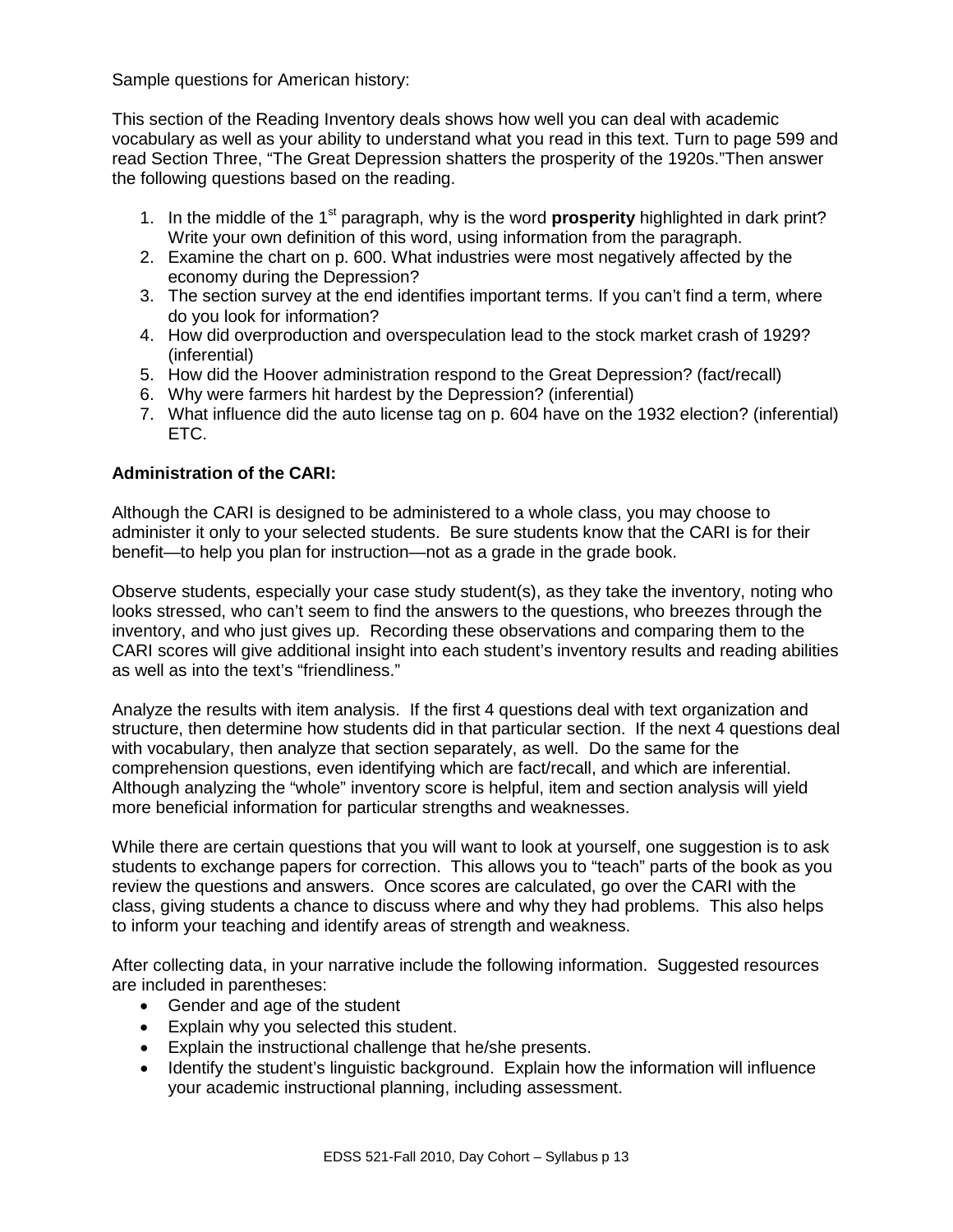Sample questions for American history:

This section of the Reading Inventory deals shows how well you can deal with academic vocabulary as well as your ability to understand what you read in this text. Turn to page 599 and read Section Three, "The Great Depression shatters the prosperity of the 1920s."Then answer the following questions based on the reading.

- 1. In the middle of the 1<sup>st</sup> paragraph, why is the word **prosperity** highlighted in dark print? Write your own definition of this word, using information from the paragraph.
- 2. Examine the chart on p. 600. What industries were most negatively affected by the economy during the Depression?
- 3. The section survey at the end identifies important terms. If you can't find a term, where do you look for information?
- 4. How did overproduction and overspeculation lead to the stock market crash of 1929? (inferential)
- 5. How did the Hoover administration respond to the Great Depression? (fact/recall)
- 6. Why were farmers hit hardest by the Depression? (inferential)
- 7. What influence did the auto license tag on p. 604 have on the 1932 election? (inferential) ETC.

# **Administration of the CARI:**

Although the CARI is designed to be administered to a whole class, you may choose to administer it only to your selected students. Be sure students know that the CARI is for their benefit—to help you plan for instruction—not as a grade in the grade book.

Observe students, especially your case study student(s), as they take the inventory, noting who looks stressed, who can't seem to find the answers to the questions, who breezes through the inventory, and who just gives up. Recording these observations and comparing them to the CARI scores will give additional insight into each student's inventory results and reading abilities as well as into the text's "friendliness."

Analyze the results with item analysis. If the first 4 questions deal with text organization and structure, then determine how students did in that particular section. If the next 4 questions deal with vocabulary, then analyze that section separately, as well. Do the same for the comprehension questions, even identifying which are fact/recall, and which are inferential. Although analyzing the "whole" inventory score is helpful, item and section analysis will yield more beneficial information for particular strengths and weaknesses.

While there are certain questions that you will want to look at yourself, one suggestion is to ask students to exchange papers for correction. This allows you to "teach" parts of the book as you review the questions and answers. Once scores are calculated, go over the CARI with the class, giving students a chance to discuss where and why they had problems. This also helps to inform your teaching and identify areas of strength and weakness.

After collecting data, in your narrative include the following information. Suggested resources are included in parentheses:

- Gender and age of the student
- Explain why you selected this student.
- Explain the instructional challenge that he/she presents.
- Identify the student's linguistic background. Explain how the information will influence your academic instructional planning, including assessment.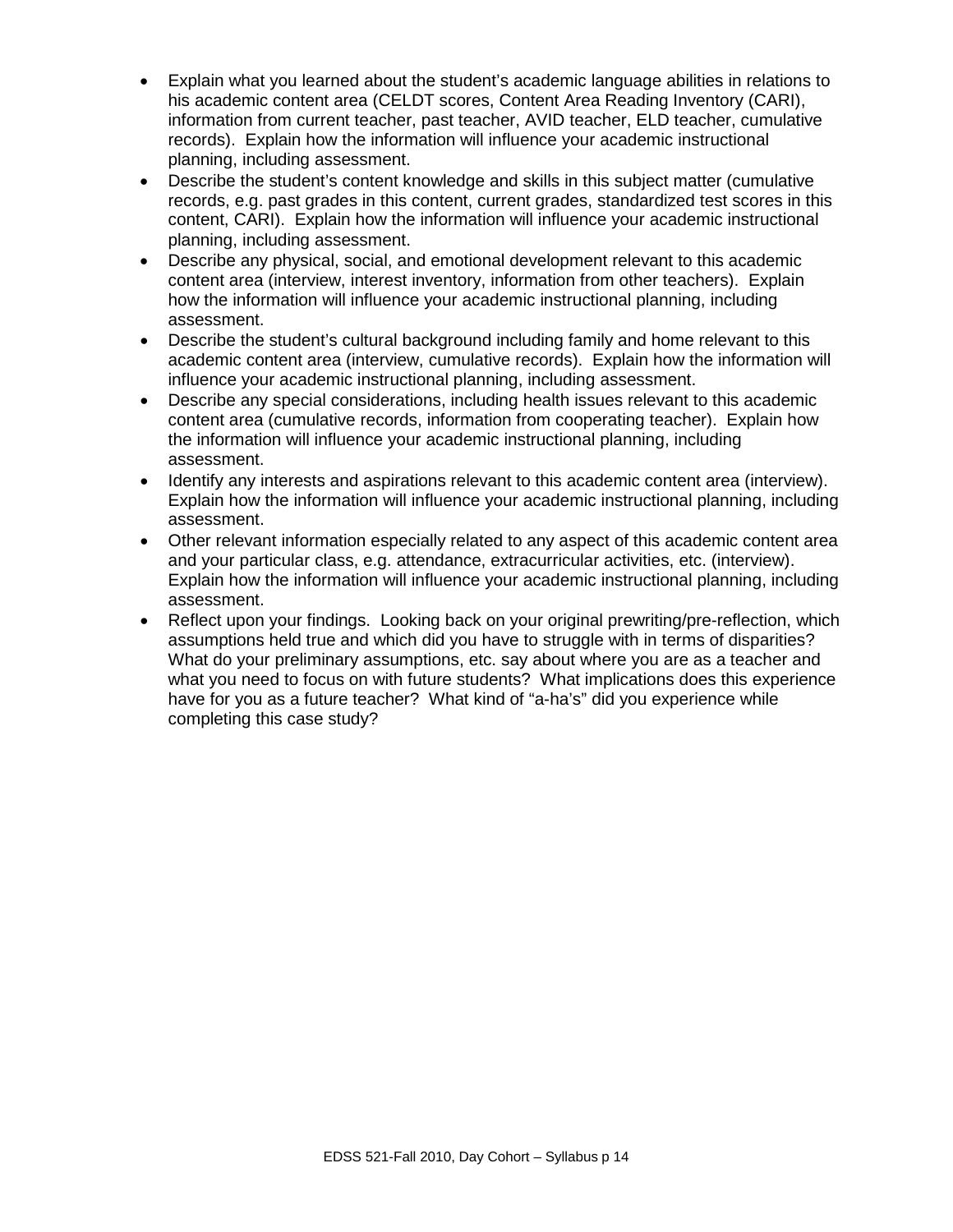- Explain what you learned about the student's academic language abilities in relations to his academic content area (CELDT scores, Content Area Reading Inventory (CARI), information from current teacher, past teacher, AVID teacher, ELD teacher, cumulative records). Explain how the information will influence your academic instructional planning, including assessment.
- Describe the student's content knowledge and skills in this subject matter (cumulative records, e.g. past grades in this content, current grades, standardized test scores in this content, CARI). Explain how the information will influence your academic instructional planning, including assessment.
- Describe any physical, social, and emotional development relevant to this academic content area (interview, interest inventory, information from other teachers). Explain how the information will influence your academic instructional planning, including assessment.
- Describe the student's cultural background including family and home relevant to this academic content area (interview, cumulative records). Explain how the information will influence your academic instructional planning, including assessment.
- Describe any special considerations, including health issues relevant to this academic content area (cumulative records, information from cooperating teacher). Explain how the information will influence your academic instructional planning, including assessment.
- Identify any interests and aspirations relevant to this academic content area (interview). Explain how the information will influence your academic instructional planning, including assessment.
- Other relevant information especially related to any aspect of this academic content area and your particular class, e.g. attendance, extracurricular activities, etc. (interview). Explain how the information will influence your academic instructional planning, including assessment.
- Reflect upon your findings. Looking back on your original prewriting/pre-reflection, which assumptions held true and which did you have to struggle with in terms of disparities? What do your preliminary assumptions, etc. say about where you are as a teacher and what you need to focus on with future students? What implications does this experience have for you as a future teacher? What kind of "a-ha's" did you experience while completing this case study?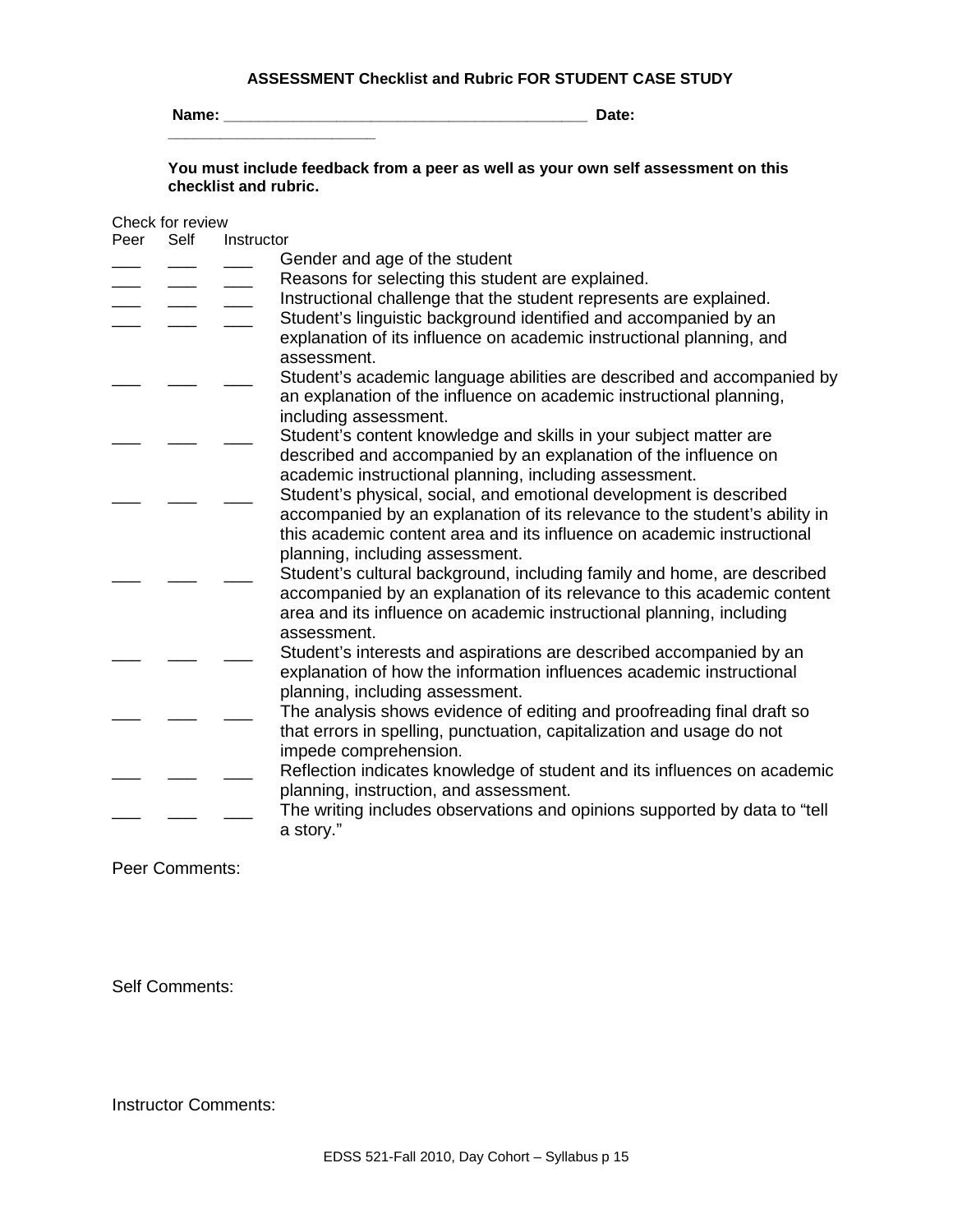#### **ASSESSMENT Checklist and Rubric FOR STUDENT CASE STUDY**

**Name: \_\_\_\_\_\_\_\_\_\_\_\_\_\_\_\_\_\_\_\_\_\_\_\_\_\_\_\_\_\_\_\_\_\_\_\_\_\_\_\_\_\_ Date: \_\_\_\_\_\_\_\_\_\_\_\_\_\_\_\_\_\_\_\_\_\_\_\_**

**You must include feedback from a peer as well as your own self assessment on this checklist and rubric.** 

# Check for review

| Peer | Self | Instructor                                                                                                                                                                                                                 |
|------|------|----------------------------------------------------------------------------------------------------------------------------------------------------------------------------------------------------------------------------|
|      |      | Gender and age of the student                                                                                                                                                                                              |
|      |      | Reasons for selecting this student are explained.                                                                                                                                                                          |
|      |      | Instructional challenge that the student represents are explained.                                                                                                                                                         |
|      |      | Student's linguistic background identified and accompanied by an                                                                                                                                                           |
|      |      | explanation of its influence on academic instructional planning, and<br>assessment.                                                                                                                                        |
|      |      | Student's academic language abilities are described and accompanied by                                                                                                                                                     |
|      |      | an explanation of the influence on academic instructional planning,<br>including assessment.                                                                                                                               |
|      |      | Student's content knowledge and skills in your subject matter are                                                                                                                                                          |
|      |      | described and accompanied by an explanation of the influence on                                                                                                                                                            |
|      |      | academic instructional planning, including assessment.                                                                                                                                                                     |
|      |      | Student's physical, social, and emotional development is described                                                                                                                                                         |
|      |      | accompanied by an explanation of its relevance to the student's ability in<br>this academic content area and its influence on academic instructional                                                                       |
|      |      | planning, including assessment.                                                                                                                                                                                            |
|      |      | Student's cultural background, including family and home, are described<br>accompanied by an explanation of its relevance to this academic content<br>area and its influence on academic instructional planning, including |
|      |      | assessment.                                                                                                                                                                                                                |
|      |      | Student's interests and aspirations are described accompanied by an<br>explanation of how the information influences academic instructional                                                                                |
|      |      | planning, including assessment.                                                                                                                                                                                            |
|      |      | The analysis shows evidence of editing and proofreading final draft so                                                                                                                                                     |
|      |      | that errors in spelling, punctuation, capitalization and usage do not<br>impede comprehension.                                                                                                                             |
|      |      | Reflection indicates knowledge of student and its influences on academic                                                                                                                                                   |
|      |      | planning, instruction, and assessment.                                                                                                                                                                                     |
|      |      | The writing includes observations and opinions supported by data to "tell<br>a story."                                                                                                                                     |

Peer Comments:

Self Comments:

Instructor Comments: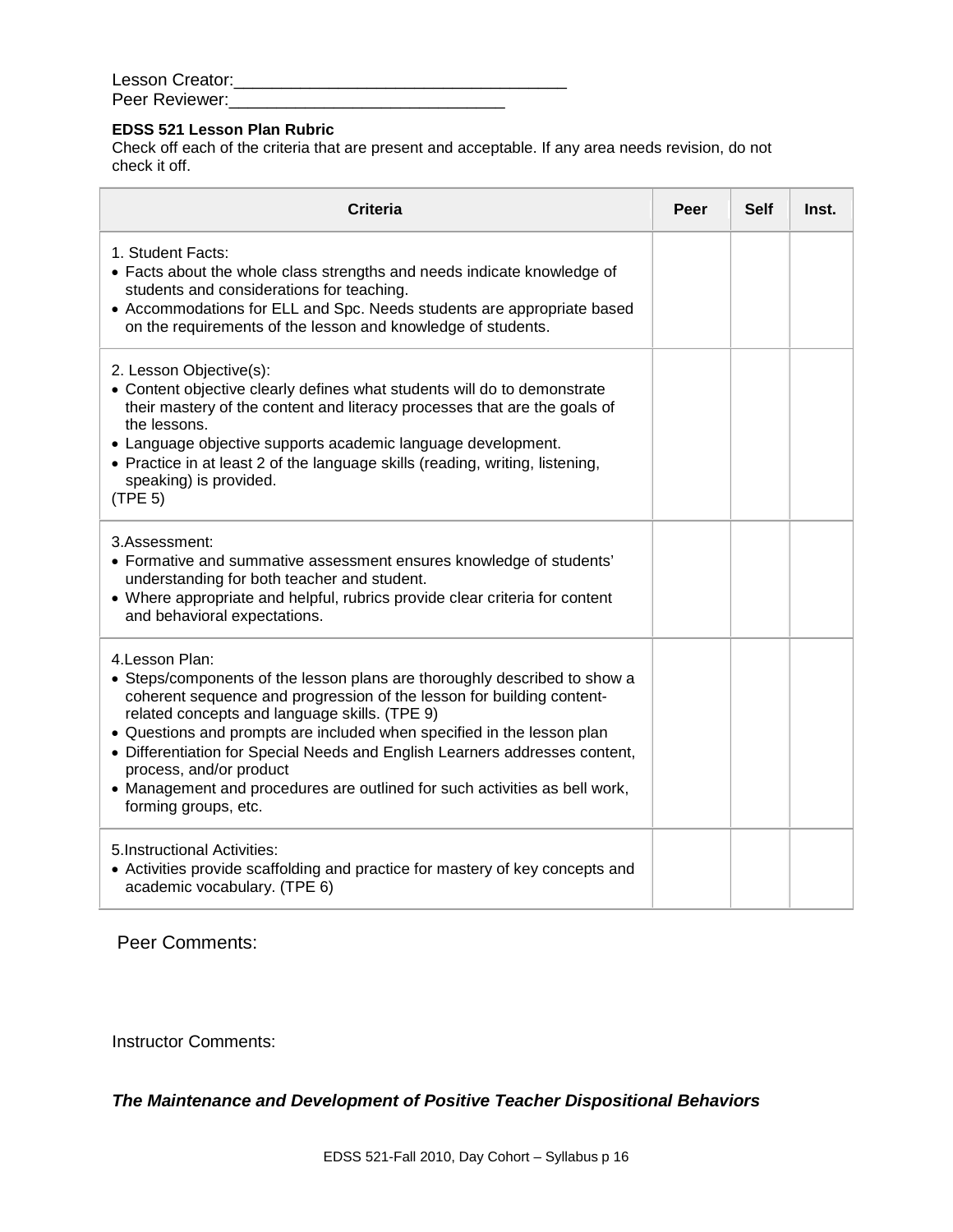| Lesson Creator: |  |
|-----------------|--|
| Peer Reviewer:  |  |

# **EDSS 521 Lesson Plan Rubric**

Check off each of the criteria that are present and acceptable. If any area needs revision, do not check it off.

| <b>Criteria</b>                                                                                                                                                                                                                                                                                                                                                                                                                                                                                                  | Peer | <b>Self</b> | Inst. |
|------------------------------------------------------------------------------------------------------------------------------------------------------------------------------------------------------------------------------------------------------------------------------------------------------------------------------------------------------------------------------------------------------------------------------------------------------------------------------------------------------------------|------|-------------|-------|
| 1. Student Facts:<br>• Facts about the whole class strengths and needs indicate knowledge of<br>students and considerations for teaching.<br>• Accommodations for ELL and Spc. Needs students are appropriate based<br>on the requirements of the lesson and knowledge of students.                                                                                                                                                                                                                              |      |             |       |
| 2. Lesson Objective(s):<br>• Content objective clearly defines what students will do to demonstrate<br>their mastery of the content and literacy processes that are the goals of<br>the lessons.<br>• Language objective supports academic language development.<br>• Practice in at least 2 of the language skills (reading, writing, listening,<br>speaking) is provided.<br>(TPE 5)                                                                                                                           |      |             |       |
| 3.Assessment:<br>• Formative and summative assessment ensures knowledge of students'<br>understanding for both teacher and student.<br>• Where appropriate and helpful, rubrics provide clear criteria for content<br>and behavioral expectations.                                                                                                                                                                                                                                                               |      |             |       |
| 4. Lesson Plan:<br>• Steps/components of the lesson plans are thoroughly described to show a<br>coherent sequence and progression of the lesson for building content-<br>related concepts and language skills. (TPE 9)<br>• Questions and prompts are included when specified in the lesson plan<br>• Differentiation for Special Needs and English Learners addresses content,<br>process, and/or product<br>• Management and procedures are outlined for such activities as bell work,<br>forming groups, etc. |      |             |       |
| 5. Instructional Activities:<br>• Activities provide scaffolding and practice for mastery of key concepts and<br>academic vocabulary. (TPE 6)                                                                                                                                                                                                                                                                                                                                                                    |      |             |       |

Peer Comments:

Instructor Comments:

*The Maintenance and Development of Positive Teacher Dispositional Behaviors*